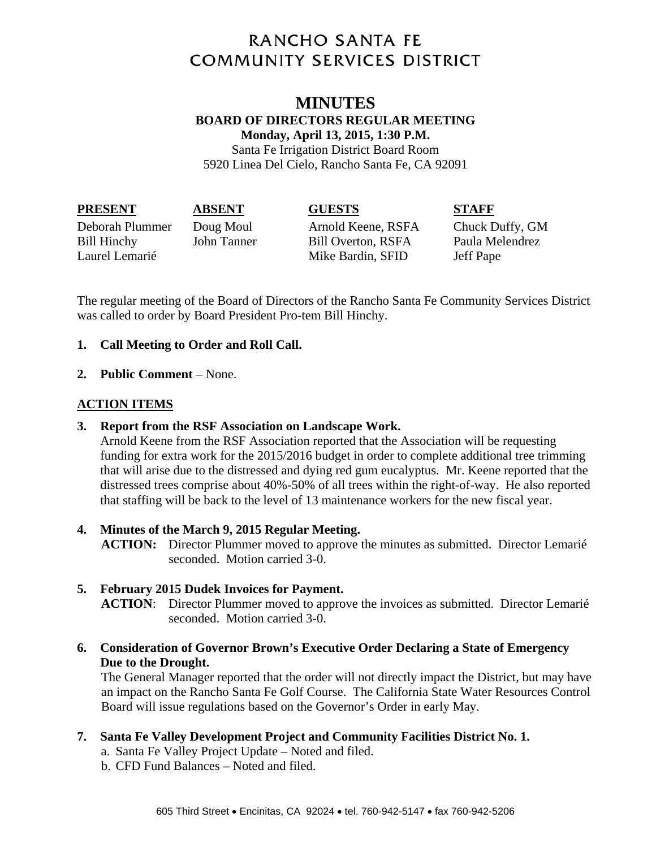# **RANCHO SANTA FE COMMUNITY SERVICES DISTRICT**

### **MINUTES BOARD OF DIRECTORS REGULAR MEETING Monday, April 13, 2015, 1:30 P.M.**

Santa Fe Irrigation District Board Room 5920 Linea Del Cielo, Rancho Santa Fe, CA 92091

| <b>PRESENT</b> | <b>ABSENT</b> | <b>GUESTS</b> | <b>STAFF</b> |
|----------------|---------------|---------------|--------------|
|----------------|---------------|---------------|--------------|

Deborah Plummer Doug Moul Arnold Keene, RSFA Chuck Duffy, GM Bill Hinchy John Tanner Bill Overton, RSFA Paula Melendrez Laurel Lemarié Mike Bardin, SFID Jeff Pape

The regular meeting of the Board of Directors of the Rancho Santa Fe Community Services District was called to order by Board President Pro-tem Bill Hinchy.

## **1. Call Meeting to Order and Roll Call.**

### **2. Public Comment** – None.

### **ACTION ITEMS**

### **3. Report from the RSF Association on Landscape Work.**

Arnold Keene from the RSF Association reported that the Association will be requesting funding for extra work for the 2015/2016 budget in order to complete additional tree trimming that will arise due to the distressed and dying red gum eucalyptus. Mr. Keene reported that the distressed trees comprise about 40%-50% of all trees within the right-of-way. He also reported that staffing will be back to the level of 13 maintenance workers for the new fiscal year.

### **4. Minutes of the March 9, 2015 Regular Meeting.**

**ACTION:** Director Plummer moved to approve the minutes as submitted. Director Lemarié seconded. Motion carried 3-0.

### **5. February 2015 Dudek Invoices for Payment.**

**ACTION**: Director Plummer moved to approve the invoices as submitted. Director Lemarié seconded. Motion carried 3-0.

### **6. Consideration of Governor Brown's Executive Order Declaring a State of Emergency Due to the Drought.**

The General Manager reported that the order will not directly impact the District, but may have an impact on the Rancho Santa Fe Golf Course. The California State Water Resources Control Board will issue regulations based on the Governor's Order in early May.

# **7. Santa Fe Valley Development Project and Community Facilities District No. 1.**

- a. Santa Fe Valley Project Update Noted and filed.
- b. CFD Fund Balances Noted and filed.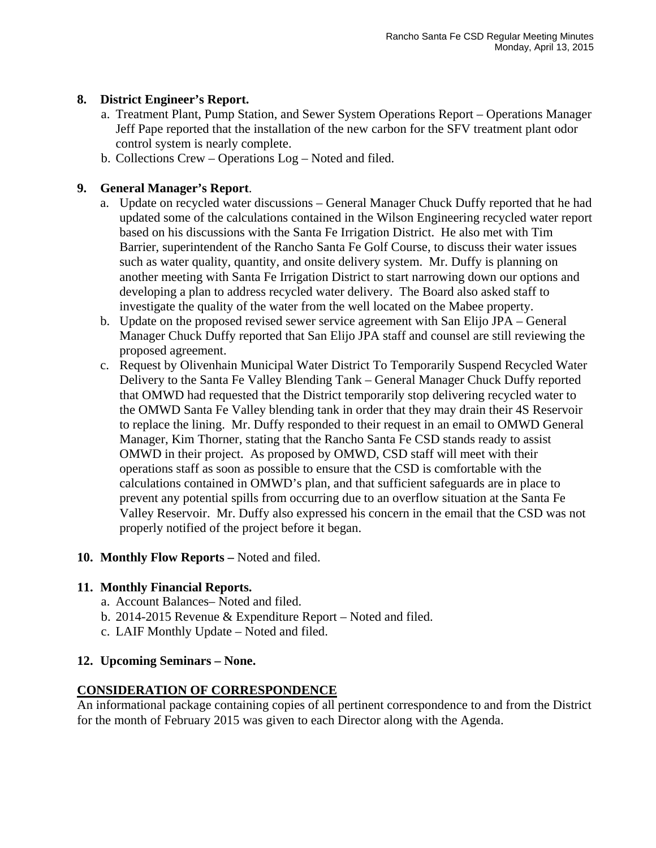#### **8. District Engineer's Report.**

- a. Treatment Plant, Pump Station, and Sewer System Operations Report Operations Manager Jeff Pape reported that the installation of the new carbon for the SFV treatment plant odor control system is nearly complete.
- b. Collections Crew Operations Log Noted and filed.

#### **9. General Manager's Report**.

- a. Update on recycled water discussions General Manager Chuck Duffy reported that he had updated some of the calculations contained in the Wilson Engineering recycled water report based on his discussions with the Santa Fe Irrigation District. He also met with Tim Barrier, superintendent of the Rancho Santa Fe Golf Course, to discuss their water issues such as water quality, quantity, and onsite delivery system. Mr. Duffy is planning on another meeting with Santa Fe Irrigation District to start narrowing down our options and developing a plan to address recycled water delivery. The Board also asked staff to investigate the quality of the water from the well located on the Mabee property.
- b. Update on the proposed revised sewer service agreement with San Elijo JPA General Manager Chuck Duffy reported that San Elijo JPA staff and counsel are still reviewing the proposed agreement.
- c. Request by Olivenhain Municipal Water District To Temporarily Suspend Recycled Water Delivery to the Santa Fe Valley Blending Tank – General Manager Chuck Duffy reported that OMWD had requested that the District temporarily stop delivering recycled water to the OMWD Santa Fe Valley blending tank in order that they may drain their 4S Reservoir to replace the lining. Mr. Duffy responded to their request in an email to OMWD General Manager, Kim Thorner, stating that the Rancho Santa Fe CSD stands ready to assist OMWD in their project. As proposed by OMWD, CSD staff will meet with their operations staff as soon as possible to ensure that the CSD is comfortable with the calculations contained in OMWD's plan, and that sufficient safeguards are in place to prevent any potential spills from occurring due to an overflow situation at the Santa Fe Valley Reservoir. Mr. Duffy also expressed his concern in the email that the CSD was not properly notified of the project before it began.

#### **10. Monthly Flow Reports –** Noted and filed.

#### **11. Monthly Financial Reports.**

- a. Account Balances– Noted and filed.
- b. 2014-2015 Revenue & Expenditure Report Noted and filed.
- c. LAIF Monthly Update Noted and filed.

#### **12. Upcoming Seminars – None.**

### **CONSIDERATION OF CORRESPONDENCE**

An informational package containing copies of all pertinent correspondence to and from the District for the month of February 2015 was given to each Director along with the Agenda.